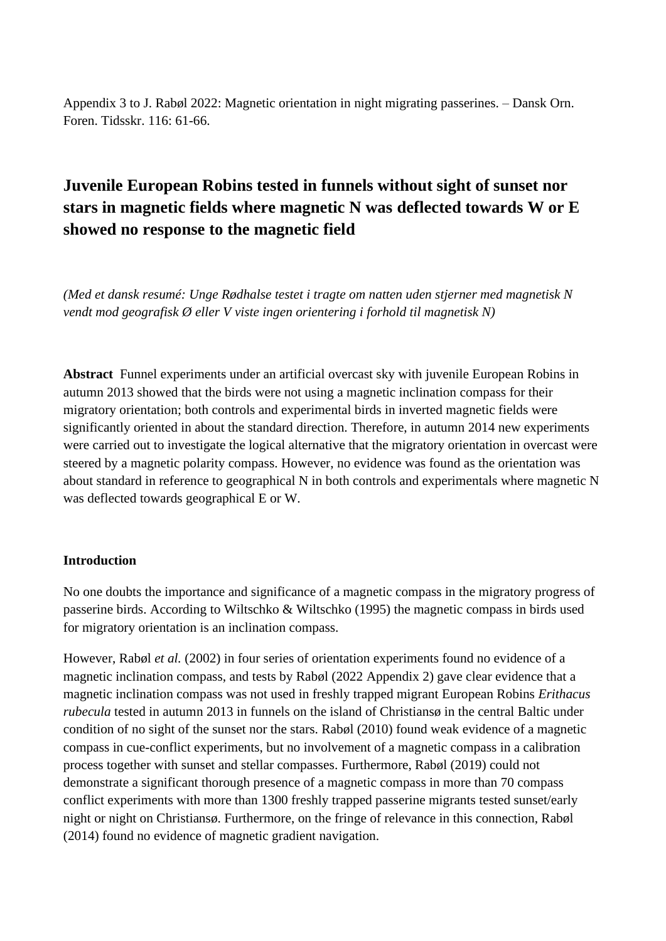Appendix 3 to J. Rabøl 2022: Magnetic orientation in night migrating passerines. – Dansk Orn. Foren. Tidsskr. 116: 61-66.

# **Juvenile European Robins tested in funnels without sight of sunset nor stars in magnetic fields where magnetic N was deflected towards W or E showed no response to the magnetic field**

*(Med et dansk resumé: Unge Rødhalse testet i tragte om natten uden stjerner med magnetisk N vendt mod geografisk Ø eller V viste ingen orientering i forhold til magnetisk N)*

**Abstract** Funnel experiments under an artificial overcast sky with juvenile European Robins in autumn 2013 showed that the birds were not using a magnetic inclination compass for their migratory orientation; both controls and experimental birds in inverted magnetic fields were significantly oriented in about the standard direction. Therefore, in autumn 2014 new experiments were carried out to investigate the logical alternative that the migratory orientation in overcast were steered by a magnetic polarity compass. However, no evidence was found as the orientation was about standard in reference to geographical N in both controls and experimentals where magnetic N was deflected towards geographical E or W.

## **Introduction**

No one doubts the importance and significance of a magnetic compass in the migratory progress of passerine birds. According to Wiltschko & Wiltschko (1995) the magnetic compass in birds used for migratory orientation is an inclination compass.

However, Rabøl *et al.* (2002) in four series of orientation experiments found no evidence of a magnetic inclination compass, and tests by Rabøl (2022 Appendix 2) gave clear evidence that a magnetic inclination compass was not used in freshly trapped migrant European Robins *Erithacus rubecula* tested in autumn 2013 in funnels on the island of Christiansø in the central Baltic under condition of no sight of the sunset nor the stars. Rabøl (2010) found weak evidence of a magnetic compass in cue-conflict experiments, but no involvement of a magnetic compass in a calibration process together with sunset and stellar compasses. Furthermore, Rabøl (2019) could not demonstrate a significant thorough presence of a magnetic compass in more than 70 compass conflict experiments with more than 1300 freshly trapped passerine migrants tested sunset/early night or night on Christiansø. Furthermore, on the fringe of relevance in this connection, Rabøl (2014) found no evidence of magnetic gradient navigation.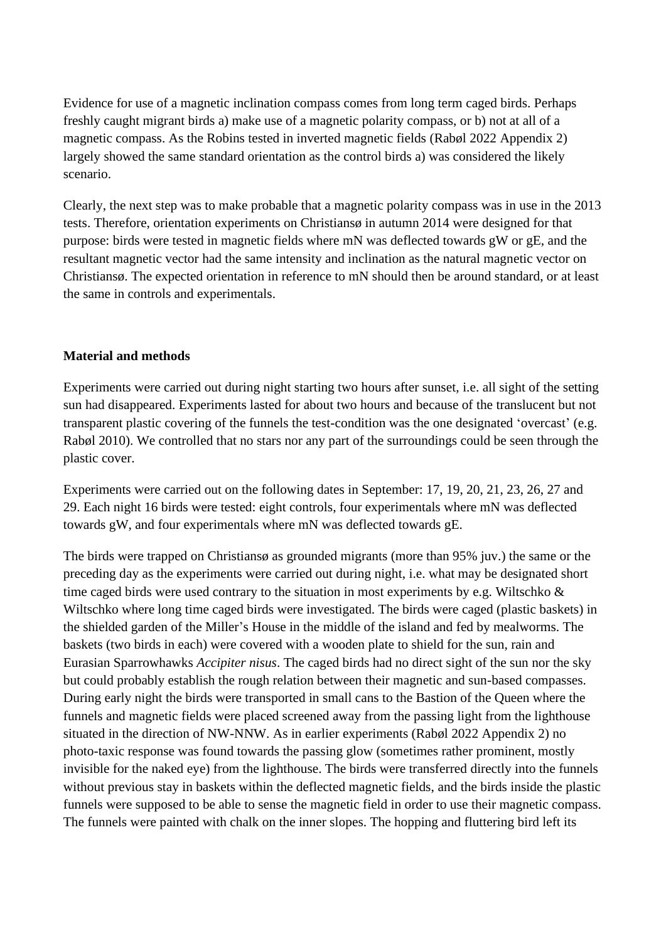Evidence for use of a magnetic inclination compass comes from long term caged birds. Perhaps freshly caught migrant birds a) make use of a magnetic polarity compass, or b) not at all of a magnetic compass. As the Robins tested in inverted magnetic fields (Rabøl 2022 Appendix 2) largely showed the same standard orientation as the control birds a) was considered the likely scenario.

Clearly, the next step was to make probable that a magnetic polarity compass was in use in the 2013 tests. Therefore, orientation experiments on Christiansø in autumn 2014 were designed for that purpose: birds were tested in magnetic fields where mN was deflected towards gW or gE, and the resultant magnetic vector had the same intensity and inclination as the natural magnetic vector on Christiansø. The expected orientation in reference to mN should then be around standard, or at least the same in controls and experimentals.

## **Material and methods**

Experiments were carried out during night starting two hours after sunset, i.e. all sight of the setting sun had disappeared. Experiments lasted for about two hours and because of the translucent but not transparent plastic covering of the funnels the test-condition was the one designated 'overcast' (e.g. Rabøl 2010). We controlled that no stars nor any part of the surroundings could be seen through the plastic cover.

Experiments were carried out on the following dates in September: 17, 19, 20, 21, 23, 26, 27 and 29. Each night 16 birds were tested: eight controls, four experimentals where mN was deflected towards gW, and four experimentals where mN was deflected towards gE.

The birds were trapped on Christiansø as grounded migrants (more than 95% juv.) the same or the preceding day as the experiments were carried out during night, i.e. what may be designated short time caged birds were used contrary to the situation in most experiments by e.g. Wiltschko & Wiltschko where long time caged birds were investigated. The birds were caged (plastic baskets) in the shielded garden of the Miller's House in the middle of the island and fed by mealworms. The baskets (two birds in each) were covered with a wooden plate to shield for the sun, rain and Eurasian Sparrowhawks *Accipiter nisus*. The caged birds had no direct sight of the sun nor the sky but could probably establish the rough relation between their magnetic and sun-based compasses. During early night the birds were transported in small cans to the Bastion of the Queen where the funnels and magnetic fields were placed screened away from the passing light from the lighthouse situated in the direction of NW-NNW. As in earlier experiments (Rabøl 2022 Appendix 2) no photo-taxic response was found towards the passing glow (sometimes rather prominent, mostly invisible for the naked eye) from the lighthouse. The birds were transferred directly into the funnels without previous stay in baskets within the deflected magnetic fields, and the birds inside the plastic funnels were supposed to be able to sense the magnetic field in order to use their magnetic compass. The funnels were painted with chalk on the inner slopes. The hopping and fluttering bird left its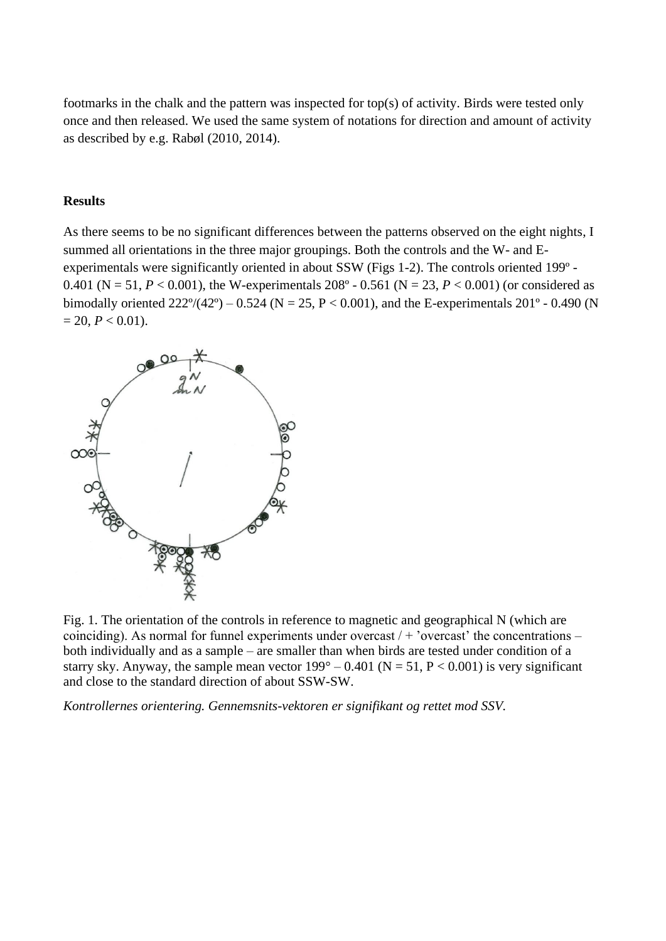footmarks in the chalk and the pattern was inspected for top(s) of activity. Birds were tested only once and then released. We used the same system of notations for direction and amount of activity as described by e.g. Rabøl (2010, 2014).

#### **Results**

As there seems to be no significant differences between the patterns observed on the eight nights, I summed all orientations in the three major groupings. Both the controls and the W- and Eexperimentals were significantly oriented in about SSW (Figs 1-2). The controls oriented 199º - 0.401 (N = 51,  $P < 0.001$ ), the W-experimentals 208° - 0.561 (N = 23,  $P < 0.001$ ) (or considered as bimodally oriented  $222^{\circ}/(42^{\circ}) - 0.524$  (N = 25, P < 0.001), and the E-experimentals 201° - 0.490 (N  $= 20, P < 0.01$ ).



Fig. 1. The orientation of the controls in reference to magnetic and geographical N (which are coinciding). As normal for funnel experiments under overcast  $/ +$  'overcast' the concentrations – both individually and as a sample – are smaller than when birds are tested under condition of a starry sky. Anyway, the sample mean vector  $199^{\circ} - 0.401$  (N = 51, P < 0.001) is very significant and close to the standard direction of about SSW-SW.

*Kontrollernes orientering. Gennemsnits-vektoren er signifikant og rettet mod SSV.*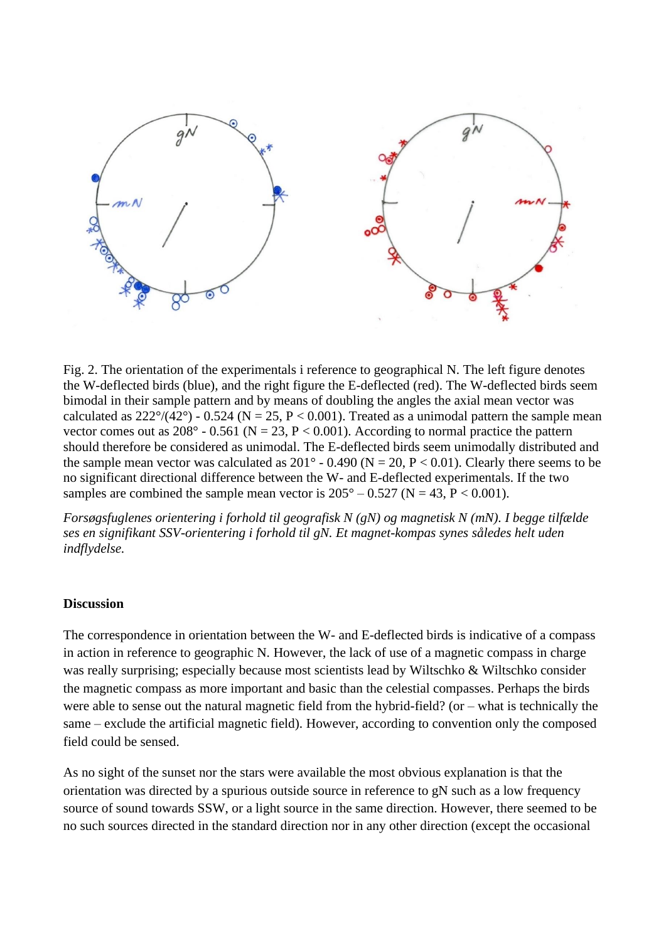

Fig. 2. The orientation of the experimentals i reference to geographical N. The left figure denotes the W-deflected birds (blue), and the right figure the E-deflected (red). The W-deflected birds seem bimodal in their sample pattern and by means of doubling the angles the axial mean vector was calculated as  $222^{\circ}/(42^{\circ})$  - 0.524 (N = 25, P < 0.001). Treated as a unimodal pattern the sample mean vector comes out as  $208^{\circ}$  - 0.561 (N = 23, P < 0.001). According to normal practice the pattern should therefore be considered as unimodal. The E-deflected birds seem unimodally distributed and the sample mean vector was calculated as  $201^\circ$  - 0.490 (N = 20, P < 0.01). Clearly there seems to be no significant directional difference between the W- and E-deflected experimentals. If the two samples are combined the sample mean vector is  $205^{\circ} - 0.527$  (N = 43, P < 0.001).

*Forsøgsfuglenes orientering i forhold til geografisk N (gN) og magnetisk N (mN). I begge tilfælde ses en signifikant SSV-orientering i forhold til gN. Et magnet-kompas synes således helt uden indflydelse.*

#### **Discussion**

The correspondence in orientation between the W- and E-deflected birds is indicative of a compass in action in reference to geographic N. However, the lack of use of a magnetic compass in charge was really surprising; especially because most scientists lead by Wiltschko & Wiltschko consider the magnetic compass as more important and basic than the celestial compasses. Perhaps the birds were able to sense out the natural magnetic field from the hybrid-field? (or – what is technically the same – exclude the artificial magnetic field). However, according to convention only the composed field could be sensed.

As no sight of the sunset nor the stars were available the most obvious explanation is that the orientation was directed by a spurious outside source in reference to gN such as a low frequency source of sound towards SSW, or a light source in the same direction. However, there seemed to be no such sources directed in the standard direction nor in any other direction (except the occasional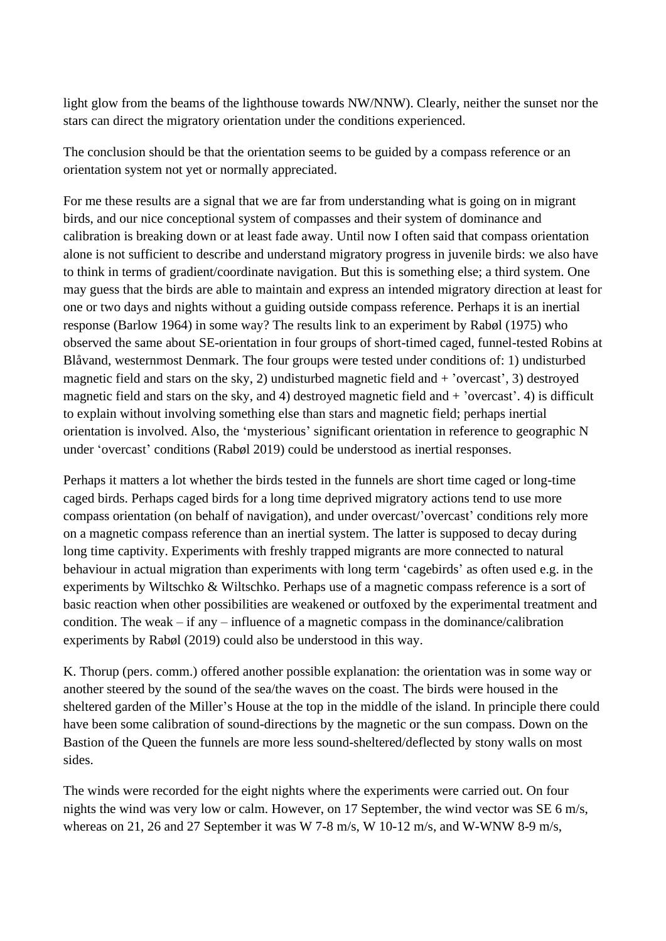light glow from the beams of the lighthouse towards NW/NNW). Clearly, neither the sunset nor the stars can direct the migratory orientation under the conditions experienced.

The conclusion should be that the orientation seems to be guided by a compass reference or an orientation system not yet or normally appreciated.

For me these results are a signal that we are far from understanding what is going on in migrant birds, and our nice conceptional system of compasses and their system of dominance and calibration is breaking down or at least fade away. Until now I often said that compass orientation alone is not sufficient to describe and understand migratory progress in juvenile birds: we also have to think in terms of gradient/coordinate navigation. But this is something else; a third system. One may guess that the birds are able to maintain and express an intended migratory direction at least for one or two days and nights without a guiding outside compass reference. Perhaps it is an inertial response (Barlow 1964) in some way? The results link to an experiment by Rabøl (1975) who observed the same about SE-orientation in four groups of short-timed caged, funnel-tested Robins at Blåvand, westernmost Denmark. The four groups were tested under conditions of: 1) undisturbed magnetic field and stars on the sky, 2) undisturbed magnetic field and + 'overcast', 3) destroyed magnetic field and stars on the sky, and 4) destroyed magnetic field and + 'overcast'. 4) is difficult to explain without involving something else than stars and magnetic field; perhaps inertial orientation is involved. Also, the 'mysterious' significant orientation in reference to geographic N under 'overcast' conditions (Rabøl 2019) could be understood as inertial responses.

Perhaps it matters a lot whether the birds tested in the funnels are short time caged or long-time caged birds. Perhaps caged birds for a long time deprived migratory actions tend to use more compass orientation (on behalf of navigation), and under overcast/'overcast' conditions rely more on a magnetic compass reference than an inertial system. The latter is supposed to decay during long time captivity. Experiments with freshly trapped migrants are more connected to natural behaviour in actual migration than experiments with long term 'cagebirds' as often used e.g. in the experiments by Wiltschko & Wiltschko. Perhaps use of a magnetic compass reference is a sort of basic reaction when other possibilities are weakened or outfoxed by the experimental treatment and condition. The weak – if any – influence of a magnetic compass in the dominance/calibration experiments by Rabøl (2019) could also be understood in this way.

K. Thorup (pers. comm.) offered another possible explanation: the orientation was in some way or another steered by the sound of the sea/the waves on the coast. The birds were housed in the sheltered garden of the Miller's House at the top in the middle of the island. In principle there could have been some calibration of sound-directions by the magnetic or the sun compass. Down on the Bastion of the Queen the funnels are more less sound-sheltered/deflected by stony walls on most sides.

The winds were recorded for the eight nights where the experiments were carried out. On four nights the wind was very low or calm. However, on 17 September, the wind vector was SE 6 m/s, whereas on 21, 26 and 27 September it was W 7-8 m/s, W 10-12 m/s, and W-WNW 8-9 m/s,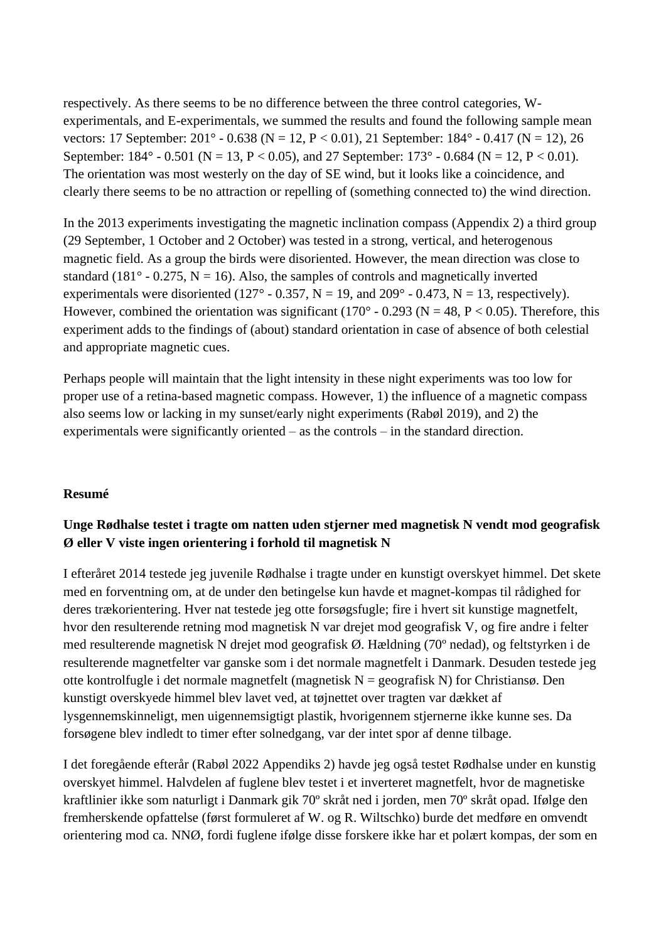respectively. As there seems to be no difference between the three control categories, Wexperimentals, and E-experimentals, we summed the results and found the following sample mean vectors: 17 September: 201° - 0.638 (N = 12, P < 0.01), 21 September: 184° - 0.417 (N = 12), 26 September:  $184^\circ$  - 0.501 (N = 13, P < 0.05), and 27 September:  $173^\circ$  - 0.684 (N = 12, P < 0.01). The orientation was most westerly on the day of SE wind, but it looks like a coincidence, and clearly there seems to be no attraction or repelling of (something connected to) the wind direction.

In the 2013 experiments investigating the magnetic inclination compass (Appendix 2) a third group (29 September, 1 October and 2 October) was tested in a strong, vertical, and heterogenous magnetic field. As a group the birds were disoriented. However, the mean direction was close to standard (181 $\degree$  - 0.275, N = 16). Also, the samples of controls and magnetically inverted experimentals were disoriented (127° - 0.357, N = 19, and 209° - 0.473, N = 13, respectively). However, combined the orientation was significant (170 $^{\circ}$  - 0.293 (N = 48, P < 0.05). Therefore, this experiment adds to the findings of (about) standard orientation in case of absence of both celestial and appropriate magnetic cues.

Perhaps people will maintain that the light intensity in these night experiments was too low for proper use of a retina-based magnetic compass. However, 1) the influence of a magnetic compass also seems low or lacking in my sunset/early night experiments (Rabøl 2019), and 2) the experimentals were significantly oriented – as the controls – in the standard direction.

## **Resumé**

# **Unge Rødhalse testet i tragte om natten uden stjerner med magnetisk N vendt mod geografisk Ø eller V viste ingen orientering i forhold til magnetisk N**

I efteråret 2014 testede jeg juvenile Rødhalse i tragte under en kunstigt overskyet himmel. Det skete med en forventning om, at de under den betingelse kun havde et magnet-kompas til rådighed for deres trækorientering. Hver nat testede jeg otte forsøgsfugle; fire i hvert sit kunstige magnetfelt, hvor den resulterende retning mod magnetisk N var drejet mod geografisk V, og fire andre i felter med resulterende magnetisk N drejet mod geografisk Ø. Hældning (70º nedad), og feltstyrken i de resulterende magnetfelter var ganske som i det normale magnetfelt i Danmark. Desuden testede jeg otte kontrolfugle i det normale magnetfelt (magnetisk  $N =$  geografisk N) for Christiansø. Den kunstigt overskyede himmel blev lavet ved, at tøjnettet over tragten var dækket af lysgennemskinneligt, men uigennemsigtigt plastik, hvorigennem stjernerne ikke kunne ses. Da forsøgene blev indledt to timer efter solnedgang, var der intet spor af denne tilbage.

I det foregående efterår (Rabøl 2022 Appendiks 2) havde jeg også testet Rødhalse under en kunstig overskyet himmel. Halvdelen af fuglene blev testet i et inverteret magnetfelt, hvor de magnetiske kraftlinier ikke som naturligt i Danmark gik 70º skråt ned i jorden, men 70º skråt opad. Ifølge den fremherskende opfattelse (først formuleret af W. og R. Wiltschko) burde det medføre en omvendt orientering mod ca. NNØ, fordi fuglene ifølge disse forskere ikke har et polært kompas, der som en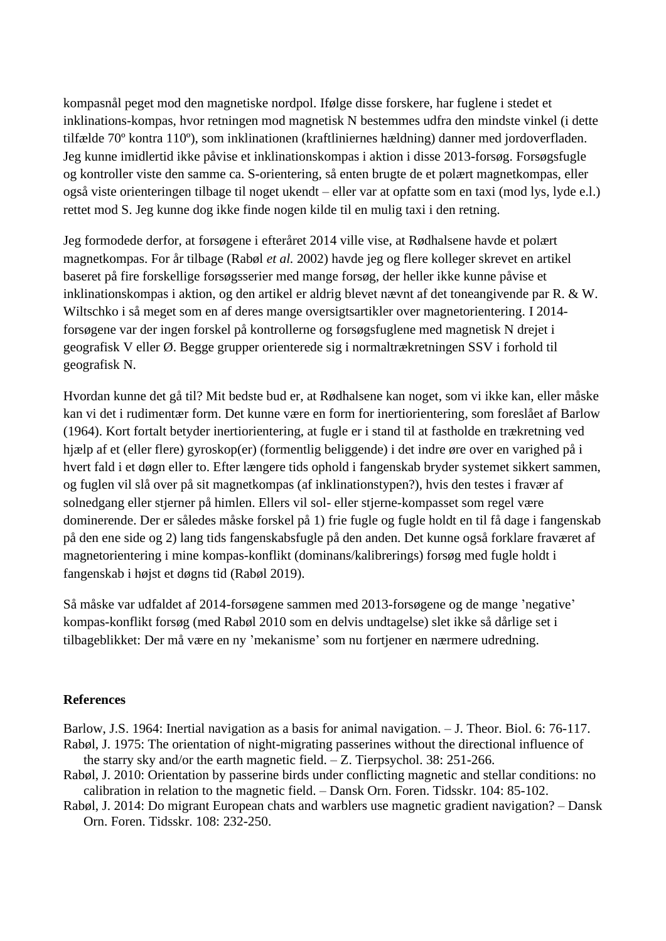kompasnål peget mod den magnetiske nordpol. Ifølge disse forskere, har fuglene i stedet et inklinations-kompas, hvor retningen mod magnetisk N bestemmes udfra den mindste vinkel (i dette tilfælde 70º kontra 110º), som inklinationen (kraftliniernes hældning) danner med jordoverfladen. Jeg kunne imidlertid ikke påvise et inklinationskompas i aktion i disse 2013-forsøg. Forsøgsfugle og kontroller viste den samme ca. S-orientering, så enten brugte de et polært magnetkompas, eller også viste orienteringen tilbage til noget ukendt – eller var at opfatte som en taxi (mod lys, lyde e.l.) rettet mod S. Jeg kunne dog ikke finde nogen kilde til en mulig taxi i den retning.

Jeg formodede derfor, at forsøgene i efteråret 2014 ville vise, at Rødhalsene havde et polært magnetkompas. For år tilbage (Rabøl *et al.* 2002) havde jeg og flere kolleger skrevet en artikel baseret på fire forskellige forsøgsserier med mange forsøg, der heller ikke kunne påvise et inklinationskompas i aktion, og den artikel er aldrig blevet nævnt af det toneangivende par R. & W. Wiltschko i så meget som en af deres mange oversigtsartikler over magnetorientering. I 2014 forsøgene var der ingen forskel på kontrollerne og forsøgsfuglene med magnetisk N drejet i geografisk V eller Ø. Begge grupper orienterede sig i normaltrækretningen SSV i forhold til geografisk N.

Hvordan kunne det gå til? Mit bedste bud er, at Rødhalsene kan noget, som vi ikke kan, eller måske kan vi det i rudimentær form. Det kunne være en form for inertiorientering, som foreslået af Barlow (1964). Kort fortalt betyder inertiorientering, at fugle er i stand til at fastholde en trækretning ved hjælp af et (eller flere) gyroskop(er) (formentlig beliggende) i det indre øre over en varighed på i hvert fald i et døgn eller to. Efter længere tids ophold i fangenskab bryder systemet sikkert sammen, og fuglen vil slå over på sit magnetkompas (af inklinationstypen?), hvis den testes i fravær af solnedgang eller stjerner på himlen. Ellers vil sol- eller stjerne-kompasset som regel være dominerende. Der er således måske forskel på 1) frie fugle og fugle holdt en til få dage i fangenskab på den ene side og 2) lang tids fangenskabsfugle på den anden. Det kunne også forklare fraværet af magnetorientering i mine kompas-konflikt (dominans/kalibrerings) forsøg med fugle holdt i fangenskab i højst et døgns tid (Rabøl 2019).

Så måske var udfaldet af 2014-forsøgene sammen med 2013-forsøgene og de mange 'negative' kompas-konflikt forsøg (med Rabøl 2010 som en delvis undtagelse) slet ikke så dårlige set i tilbageblikket: Der må være en ny 'mekanisme' som nu fortjener en nærmere udredning.

### **References**

Barlow, J.S. 1964: Inertial navigation as a basis for animal navigation. – J. Theor. Biol. 6: 76-117. Rabøl, J. 1975: The orientation of night-migrating passerines without the directional influence of

- the starry sky and/or the earth magnetic field. Z. Tierpsychol. 38: 251-266.
- Rabøl, J. 2010: Orientation by passerine birds under conflicting magnetic and stellar conditions: no calibration in relation to the magnetic field. – Dansk Orn. Foren. Tidsskr. 104: 85-102.
- Rabøl, J. 2014: Do migrant European chats and warblers use magnetic gradient navigation? Dansk Orn. Foren. Tidsskr. 108: 232-250.